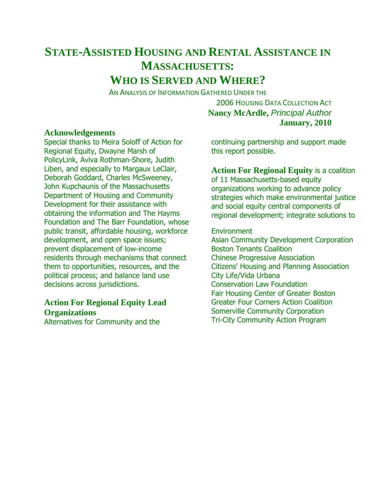# **STATE**‐**ASSISTED HOUSING AND RENTAL ASSISTANCE IN MASSACHUSETTS: WHO IS SERVED AND WHERE?**

AN ANALYSIS OF INFORMATION GATHERED UNDER THE

2006 HOUSING DATA COLLECTION ACT **Nancy McArdle,** *Principal Author* **January, 2010**

#### **Acknowledgements**

Special thanks to Meira Soloff of Action for Regional Equity, Dwayne Marsh of PolicyLink, Aviva Rothman-Shore, Judith Liben, and especially to Margaux LeClair, Deborah Goddard, Charles McSweeney, John Kupchaunis of the Massachusetts Department of Housing and Community Development for their assistance with obtaining the information and The Hayms Foundation and The Barr Foundation, whose public transit, affordable housing, workforce development, and open space issues; prevent displacement of low-income residents through mechanisms that connect them to opportunities, resources, and the political process; and balance land use decisions across jurisdictions.

### **Action For Regional Equity Lead Organizations**

Alternatives for Community and the

continuing partnership and support made this report possible.

#### **Action For Regional Equity** is a coalition

of 11 Massachusetts-based equity organizations working to advance policy strategies which make environmental justice and social equity central components of regional development; integrate solutions to

#### **Environment**

Asian Community Development Corporation Boston Tenants Coalition Chinese Progressive Association Citizens' Housing and Planning Association City Life/Vida Urbana Conservation Law Foundation Fair Housing Center of Greater Boston Greater Four Corners Action Coalition Somerville Community Corporation Tri-City Community Action Program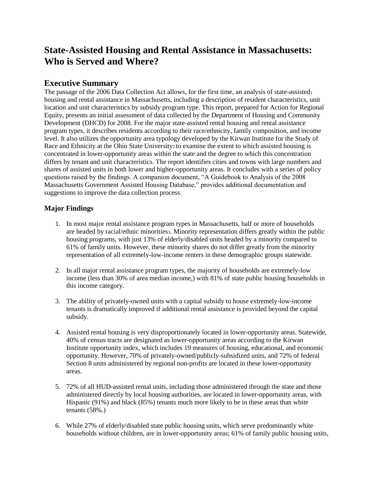# **State-Assisted Housing and Rental Assistance in Massachusetts: Who is Served and Where?**

## **Executive Summary**

The passage of the 2006 Data Collection Act allows, for the first time, an analysis of state-assisted $_1$ housing and rental assistance in Massachusetts, including a description of resident characteristics, unit location and unit characteristics by subsidy program type. This report, prepared for Action for Regional Equity, presents an initial assessment of data collected by the Department of Housing and Community Development (DHCD) for 2008. For the major state-assisted rental housing and rental assistance program types, it describes residents according to their race/ethnicity, family composition, and income level. It also utilizes the opportunity area typology developed by the Kirwan Institute for the Study of Race and Ethnicity at the Ohio State University to examine the extent to which assisted housing is concentrated in lower-opportunity areas within the state and the degree to which this concentration differs by tenant and unit characteristics. The report identifies cities and towns with large numbers and shares of assisted units in both lower and higher-opportunity areas. It concludes with a series of policy questions raised by the findings. A companion document, "A Guidebook to Analysis of the 2008 Massachusetts Government Assisted Housing Database," provides additional documentation and suggestions to improve the data collection process.

#### **Major Findings**

- 1. In most major rental assistance program types in Massachusetts, half or more of households are headed by racial/ethnic minorities3. Minority representation differs greatly within the public housing programs, with just 13% of elderly/disabled units headed by a minority compared to 61% of family units. However, these minority shares do not differ greatly from the minority representation of all extremely-low-income renters in these demographic groups statewide.
- 2. In all major rental assistance program types, the majority of households are extremely-low income (less than 30% of area median income,) with 81% of state public housing households in this income category.
- 3. The ability of privately-owned units with a capital subsidy to house extremely-low-income tenants is dramatically improved if additional rental assistance is provided beyond the capital subsidy.
- 4. Assisted rental housing is very disproportionately located in lower-opportunity areas. Statewide, 40% of census tracts are designated as lower-opportunity areas according to the Kirwan Institute opportunity index, which includes 19 measures of housing, educational, and economic opportunity. However, 70% of privately-owned/publicly-subsidized units, and 72% of federal Section 8 units administered by regional non-profits are located in these lower-opportunity areas.
- 5. 72% of all HUD-assisted rental units, including those administered through the state and those administered directly by local housing authorities, are located in lower-opportunity areas, with Hispanic (91%) and black (85%) tenants much more likely to be in these areas than white tenants (58%.)
- 6. While 27% of elderly/disabled state public housing units, which serve predominantly white households without children, are in lower-opportunity areas; 61% of family public housing units,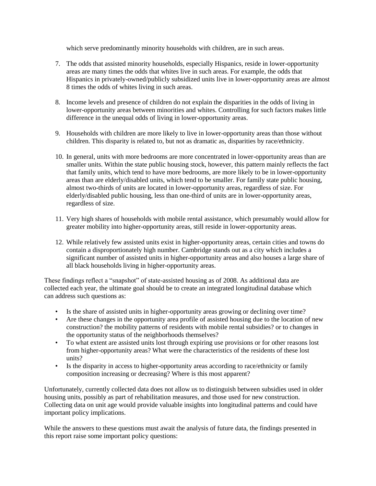which serve predominantly minority households with children, are in such areas.

- 7. The odds that assisted minority households, especially Hispanics, reside in lower-opportunity areas are many times the odds that whites live in such areas. For example, the odds that Hispanics in privately-owned/publicly subsidized units live in lower-opportunity areas are almost 8 times the odds of whites living in such areas.
- 8. Income levels and presence of children do not explain the disparities in the odds of living in lower-opportunity areas between minorities and whites. Controlling for such factors makes little difference in the unequal odds of living in lower-opportunity areas.
- 9. Households with children are more likely to live in lower-opportunity areas than those without children. This disparity is related to, but not as dramatic as, disparities by race/ethnicity.
- 10. In general, units with more bedrooms are more concentrated in lower-opportunity areas than are smaller units. Within the state public housing stock, however, this pattern mainly reflects the fact that family units, which tend to have more bedrooms, are more likely to be in lower-opportunity areas than are elderly/disabled units, which tend to be smaller. For family state public housing, almost two-thirds of units are located in lower-opportunity areas, regardless of size. For elderly/disabled public housing, less than one-third of units are in lower-opportunity areas, regardless of size.
- 11. Very high shares of households with mobile rental assistance, which presumably would allow for greater mobility into higher-opportunity areas, still reside in lower-opportunity areas.
- 12. While relatively few assisted units exist in higher-opportunity areas, certain cities and towns do contain a disproportionately high number. Cambridge stands out as a city which includes a significant number of assisted units in higher-opportunity areas and also houses a large share of all black households living in higher-opportunity areas.

These findings reflect a "snapshot" of state-assisted housing as of 2008. As additional data are collected each year, the ultimate goal should be to create an integrated longitudinal database which can address such questions as:

- Is the share of assisted units in higher-opportunity areas growing or declining over time?
- Are these changes in the opportunity area profile of assisted housing due to the location of new construction? the mobility patterns of residents with mobile rental subsidies? or to changes in the opportunity status of the neighborhoods themselves?
- To what extent are assisted units lost through expiring use provisions or for other reasons lost from higher-opportunity areas? What were the characteristics of the residents of these lost units?
- Is the disparity in access to higher-opportunity areas according to race/ethnicity or family composition increasing or decreasing? Where is this most apparent?

Unfortunately, currently collected data does not allow us to distinguish between subsidies used in older housing units, possibly as part of rehabilitation measures, and those used for new construction. Collecting data on unit age would provide valuable insights into longitudinal patterns and could have important policy implications.

While the answers to these questions must await the analysis of future data, the findings presented in this report raise some important policy questions: